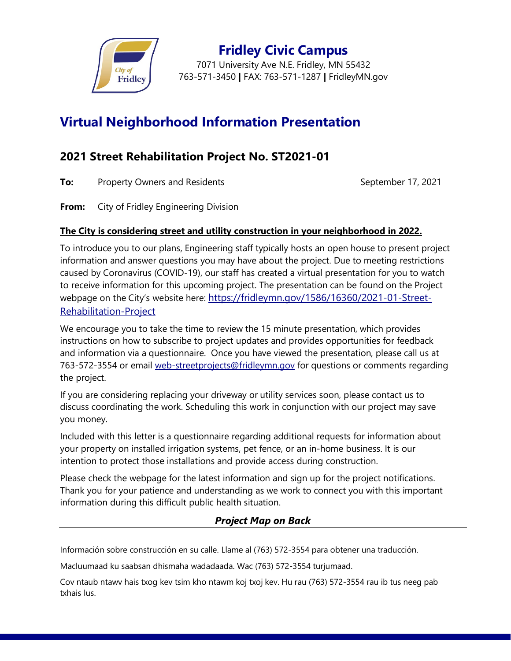

**Fridley Civic Campus** 7071 University Ave N.E. Fridley, MN 55432 763-571-3450 **|** FAX: 763-571-1287 **|** FridleyMN.gov

## **Virtual Neighborhood Information Presentation**

## **2021 Street Rehabilitation Project No. ST2021-01**

**To:** Property Owners and Residents **September 17, 2021** 

**From:** City of Fridley Engineering Division

## **The City is considering street and utility construction in your neighborhood in 2022.**

To introduce you to our plans, Engineering staff typically hosts an open house to present project information and answer questions you may have about the project. Due to meeting restrictions caused by Coronavirus (COVID-19), our staff has created a virtual presentation for you to watch to receive information for this upcoming project. The presentation can be found on the Project webpage on the City's website here: [https://fridleymn.gov/1586/16360/2021-01-Street-](https://fridleymn.gov/1586/16360/2021-01-Street-Rehabilitation-Project?activeLiveTab=widgets)[Rehabilitation-Project](https://fridleymn.gov/1586/16360/2021-01-Street-Rehabilitation-Project?activeLiveTab=widgets)

We encourage you to take the time to review the 15 minute presentation, which provides instructions on how to subscribe to project updates and provides opportunities for feedback and information via a questionnaire. Once you have viewed the presentation, please call us at 763-572-3554 or email [web-streetprojects@fridleymn.gov](mailto:web-streetprojects@fridleymn.gov) for questions or comments regarding the project.

If you are considering replacing your driveway or utility services soon, please contact us to discuss coordinating the work. Scheduling this work in conjunction with our project may save you money.

Included with this letter is a questionnaire regarding additional requests for information about your property on installed irrigation systems, pet fence, or an in-home business. It is our intention to protect those installations and provide access during construction.

Please check the webpage for the latest information and sign up for the project notifications. Thank you for your patience and understanding as we work to connect you with this important information during this difficult public health situation.

## *Project Map on Back*

Información sobre construcción en su calle. Llame al (763) 572-3554 para obtener una traducción.

Macluumaad ku saabsan dhismaha wadadaada. Wac (763) 572-3554 turjumaad.

Cov ntaub ntawv hais txog kev tsim kho ntawm koj txoj kev. Hu rau (763) 572-3554 rau ib tus neeg pab txhais lus.